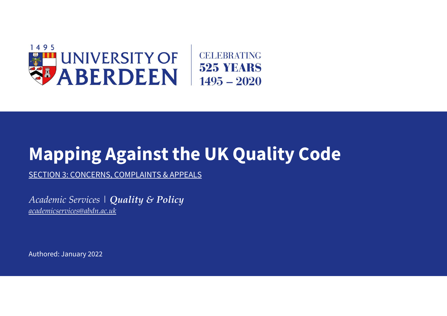

# **Mapping Against the UK Quality Code**

SECTION 3: CONCERNS, COMPLAINTS & APPEALS

*Academic Services | Quality & Policy [academicservices@abdn.ac.uk](mailto:academicservices@abdn.ac.uk)*

Authored: January 2022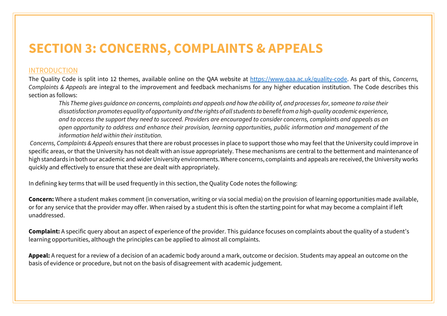## **SECTION 3: CONCERNS, COMPLAINTS & APPEALS**

### INTRODUCTION

The Quality Code is split into 12 themes, available online on the QAA website at [https://www.qaa.ac.uk/quality-code.](https://www.qaa.ac.uk/quality-code) As part of this, *Concerns, Complaints & Appeals* are integral to the improvement and feedback mechanisms for any higher education institution. The Code describes this section as follows:

*This Theme gives guidance on concerns, complaints and appeals and how the ability of, and processes for, someone to raise their dissatisfaction promotes equality of opportunity and the rights of all students to benefit from a high-quality academic experience, and to access the support they need to succeed. Providers are encouraged to consider concerns, complaints and appeals as an open opportunity to address and enhance their provision, learning opportunities, public information and management of the information held within their institution.* 

*Concerns, Complaints & Appeals* ensures that there are robust processes in place to support those who may feel that the University could improve in specific areas, or that the University has not dealt with an issue appropriately. These mechanisms are central to the betterment and maintenance of high standards in both our academic and wider University environments. Where concerns, complaints and appeals are received, the University works quickly and effectively to ensure that these are dealt with appropriately.

In defining key terms that will be used frequently in this section, the Quality Code notes the following:

**Concern:** Where a student makes comment (in conversation, writing or via social media) on the provision of learning opportunities made available, or for any service that the provider may offer. When raised by a student this is often the starting point for what may become a complaint if left unaddressed.

**Complaint:** A specific query about an aspect of experience of the provider. This guidance focuses on complaints about the quality of a student's learning opportunities, although the principles can be applied to almost all complaints.

**Appeal:** A request for a review of a decision of an academic body around a mark, outcome or decision. Students may appeal an outcome on the basis of evidence or procedure, but not on the basis of disagreement with academic judgement.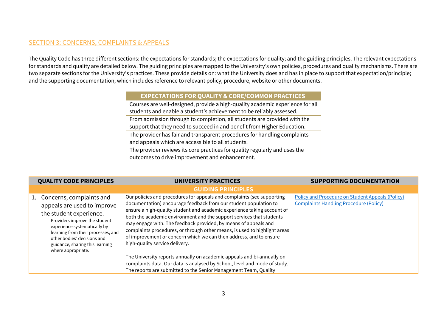### SECTION 3: CONCERNS, COMPLAINTS & APPEALS

The Quality Code has three different sections: the expectations for standards; the expectations for quality; and the guiding principles. The relevant expectations for standards and quality are detailed below. The guiding principles are mapped to the University's own policies, procedures and quality mechanisms. There are two separate sections for the University's practices. These provide details on: what the University does and has in place to support that expectation/principle; and the supporting documentation, which includes reference to relevant policy, procedure, website or other documents.

#### **EXPECTATIONS FOR QUALITY & CORE/COMMON PRACTICES**

Courses are well-designed, provide a high-quality academic experience for all students and enable a student's achievement to be reliably assessed. From admission through to completion, all students are provided with the support that they need to succeed in and benefit from Higher Education. The provider has fair and transparent procedures for handling complaints and appeals which are accessible to all students. The provider reviews its core practices for quality regularly and uses the outcomes to drive improvement and enhancement.

| <b>QUALITY CODE PRINCIPLES</b> |                                                                                                                                                                                                                                                                                      | UNIVERSITY PRACTICES                                                                                                                                                                                                                                                                                                                                                                                                                                                                                                                                                                                                            | <b>SUPPORTING DOCUMENTATION</b>                                                                   |
|--------------------------------|--------------------------------------------------------------------------------------------------------------------------------------------------------------------------------------------------------------------------------------------------------------------------------------|---------------------------------------------------------------------------------------------------------------------------------------------------------------------------------------------------------------------------------------------------------------------------------------------------------------------------------------------------------------------------------------------------------------------------------------------------------------------------------------------------------------------------------------------------------------------------------------------------------------------------------|---------------------------------------------------------------------------------------------------|
|                                |                                                                                                                                                                                                                                                                                      | <b>GUIDING PRINCIPLES</b>                                                                                                                                                                                                                                                                                                                                                                                                                                                                                                                                                                                                       |                                                                                                   |
|                                | 1. Concerns, complaints and<br>appeals are used to improve<br>the student experience.<br>Providers improve the student<br>experience systematically by<br>learning from their processes, and<br>other bodies' decisions and<br>guidance, sharing this learning<br>where appropriate. | Our policies and procedures for appeals and complaints (see supporting<br>documentation) encourage feedback from our student population to<br>ensure a high-quality student and academic experience taking account of<br>both the academic environment and the support services that students<br>may engage with. The feedback provided, by means of appeals and<br>complaints procedures, or through other means, is used to highlight areas<br>of improvement or concern which we can then address, and to ensure<br>high-quality service delivery.<br>The University reports annually on academic appeals and bi-annually on | Policy and Procedure on Student Appeals (Policy)<br><b>Complaints Handling Procedure (Policy)</b> |
|                                |                                                                                                                                                                                                                                                                                      | complaints data. Our data is analysed by School, level and mode of study.<br>The reports are submitted to the Senior Management Team, Quality                                                                                                                                                                                                                                                                                                                                                                                                                                                                                   |                                                                                                   |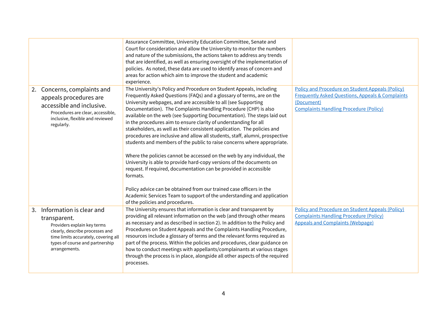|                                                                                                                                                                                                           | Assurance Committee, University Education Committee, Senate and<br>Court for consideration and allow the University to monitor the numbers<br>and nature of the submissions, the actions taken to address any trends<br>that are identified, as well as ensuring oversight of the implementation of<br>policies. As noted, these data are used to identify areas of concern and<br>areas for action which aim to improve the student and academic<br>experience.                                                                                                                                                                                                                                                                                                                                                                                                                                                                                                                                                                                                                              |                                                                                                                                                                                |
|-----------------------------------------------------------------------------------------------------------------------------------------------------------------------------------------------------------|-----------------------------------------------------------------------------------------------------------------------------------------------------------------------------------------------------------------------------------------------------------------------------------------------------------------------------------------------------------------------------------------------------------------------------------------------------------------------------------------------------------------------------------------------------------------------------------------------------------------------------------------------------------------------------------------------------------------------------------------------------------------------------------------------------------------------------------------------------------------------------------------------------------------------------------------------------------------------------------------------------------------------------------------------------------------------------------------------|--------------------------------------------------------------------------------------------------------------------------------------------------------------------------------|
| 2. Concerns, complaints and<br>appeals procedures are<br>accessible and inclusive.<br>Procedures are clear, accessible,<br>inclusive, flexible and reviewed<br>regularly.                                 | The University's Policy and Procedure on Student Appeals, including<br>Frequently Asked Questions (FAQs) and a glossary of terms, are on the<br>University webpages, and are accessible to all (see Supporting<br>Documentation). The Complaints Handling Procedure (CHP) is also<br>available on the web (see Supporting Documentation). The steps laid out<br>in the procedures aim to ensure clarity of understanding for all<br>stakeholders, as well as their consistent application. The policies and<br>procedures are inclusive and allow all students, staff, alumni, prospective<br>students and members of the public to raise concerns where appropriate.<br>Where the policies cannot be accessed on the web by any individual, the<br>University is able to provide hard-copy versions of the documents on<br>request. If required, documentation can be provided in accessible<br>formats.<br>Policy advice can be obtained from our trained case officers in the<br>Academic Services Team to support of the understanding and application<br>of the policies and procedures. | Policy and Procedure on Student Appeals (Policy)<br><b>Frequently Asked Questions, Appeals &amp; Complaints</b><br>(Document)<br><b>Complaints Handling Procedure (Policy)</b> |
| 3. Information is clear and<br>transparent.<br>Providers explain key terms<br>clearly, describe processes and<br>time limits accurately, covering all<br>types of course and partnership<br>arrangements. | The University ensures that information is clear and transparent by<br>providing all relevant information on the web (and through other means<br>as necessary and as described in section 2). In addition to the Policy and<br>Procedures on Student Appeals and the Complaints Handling Procedure,<br>resources include a glossary of terms and the relevant forms required as<br>part of the process. Within the policies and procedures, clear guidance on<br>how to conduct meetings with appellants/complainants at various stages<br>through the process is in place, alongside all other aspects of the required<br>processes.                                                                                                                                                                                                                                                                                                                                                                                                                                                         | <b>Policy and Procedure on Student Appeals (Policy)</b><br><b>Complaints Handling Procedure (Policy)</b><br><b>Appeals and Complaints (Webpage)</b>                            |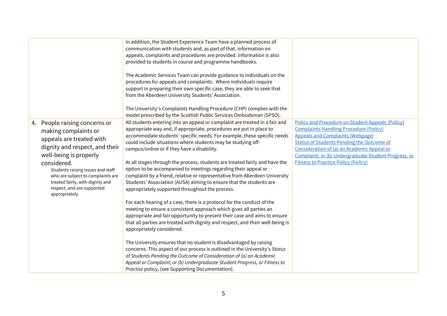|    |                                                                        | In addition, the Student Experience Team have a planned process of                                                                                |                                                                                                    |
|----|------------------------------------------------------------------------|---------------------------------------------------------------------------------------------------------------------------------------------------|----------------------------------------------------------------------------------------------------|
|    |                                                                        | communication with students and, as part of that, information on                                                                                  |                                                                                                    |
|    |                                                                        | appeals, complaints and procedures are provided. Information is also                                                                              |                                                                                                    |
|    |                                                                        | provided to students in course and programme handbooks.                                                                                           |                                                                                                    |
|    |                                                                        | The Academic Services Team can provide guidance to individuals on the                                                                             |                                                                                                    |
|    |                                                                        | procedures for appeals and complaints. Where individuals require                                                                                  |                                                                                                    |
|    |                                                                        | support in preparing their own specific case, they are able to seek that                                                                          |                                                                                                    |
|    |                                                                        | from the Aberdeen University Students' Association.                                                                                               |                                                                                                    |
|    |                                                                        |                                                                                                                                                   |                                                                                                    |
|    |                                                                        | The University's Complaints Handling Procedure (CHP) complies with the                                                                            |                                                                                                    |
|    |                                                                        | model prescribed by the Scottish Public Services Ombudsman (SPSO).                                                                                |                                                                                                    |
| 4. | People raising concerns or                                             | All students entering into an appeal or complaint are treated in a fair and                                                                       | <b>Policy and Procedure on Student Appeals (Policy)</b>                                            |
|    | making complaints or                                                   | appropriate way and, if appropriate, procedures are put in place to                                                                               | <b>Complaints Handling Procedure (Policy)</b>                                                      |
|    | appeals are treated with                                               | accommodate students' specific needs. For example, these specific needs                                                                           | <b>Appeals and Complaints (Webpage)</b>                                                            |
|    | dignity and respect, and their                                         | could include situations where students may be studying off-                                                                                      | <b>Status of Students Pending the Outcome of</b>                                                   |
|    | well-being is properly                                                 | campus/online or if they have a disability.                                                                                                       | Consideration of (a) an Academic Appeal or                                                         |
|    |                                                                        |                                                                                                                                                   | Complaint; or (b) Undergraduate Student Progress, or<br><b>Fitness to Practice Policy (Policy)</b> |
|    | considered.                                                            | At all stages through the process, students are treated fairly and have the<br>option to be accompanied to meetings regarding their appeal or     |                                                                                                    |
|    | Students raising issues and staff<br>who are subject to complaints are | complaint by a friend, relative or representative from Aberdeen University                                                                        |                                                                                                    |
|    | treated fairly, with dignity and                                       | Students' Association (AUSA) aiming to ensure that the students are                                                                               |                                                                                                    |
|    | respect, and are supported                                             | appropriately supported throughout the process.                                                                                                   |                                                                                                    |
|    | appropriately.                                                         |                                                                                                                                                   |                                                                                                    |
|    |                                                                        | For each hearing of a case, there is a protocol for the conduct of the                                                                            |                                                                                                    |
|    |                                                                        | meeting to ensure a consistent approach which gives all parties an                                                                                |                                                                                                    |
|    |                                                                        | appropriate and fair opportunity to present their case and aims to ensure                                                                         |                                                                                                    |
|    |                                                                        | that all parties are treated with dignity and respect, and their well-being is                                                                    |                                                                                                    |
|    |                                                                        | appropriately considered.                                                                                                                         |                                                                                                    |
|    |                                                                        |                                                                                                                                                   |                                                                                                    |
|    |                                                                        | The University ensures that no student is disadvantaged by raising<br>concerns. This aspect of our process is outlined in the University's Status |                                                                                                    |
|    |                                                                        | of Students Pending the Outcome of Consideration of (a) an Academic                                                                               |                                                                                                    |
|    |                                                                        | Appeal or Complaint; or (b) Undergraduate Student Progress, or Fitness to                                                                         |                                                                                                    |
|    |                                                                        | Practise policy, (see Supporting Documentation).                                                                                                  |                                                                                                    |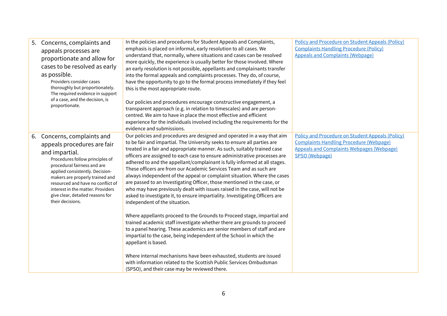| 5.<br>Concerns, complaints and<br>appeals processes are<br>proportionate and allow for<br>cases to be resolved as early<br>as possible.<br>Providers consider cases<br>thoroughly but proportionately.<br>The required evidence in support<br>of a case, and the decision, is<br>proportionate.                                                           | In the policies and procedures for Student Appeals and Complaints,<br>emphasis is placed on informal, early resolution to all cases. We<br>understand that, normally, where situations and cases can be resolved<br>more quickly, the experience is usually better for those involved. Where<br>an early resolution is not possible, appellants and complainants transfer<br>into the formal appeals and complaints processes. They do, of course,<br>have the opportunity to go to the formal process immediately if they feel<br>this is the most appropriate route.<br>Our policies and procedures encourage constructive engagement, a<br>transparent approach (e.g. in relation to timescales) and are person-<br>centred. We aim to have in place the most effective and efficient<br>experience for the individuals involved including the requirements for the<br>evidence and submissions.                                                                                                                                                                                                                                                                                                                                                                                                                                             | <b>Policy and Procedure on Student Appeals (Policy)</b><br><b>Complaints Handling Procedure (Policy)</b><br><b>Appeals and Complaints (Webpage)</b>                             |
|-----------------------------------------------------------------------------------------------------------------------------------------------------------------------------------------------------------------------------------------------------------------------------------------------------------------------------------------------------------|-------------------------------------------------------------------------------------------------------------------------------------------------------------------------------------------------------------------------------------------------------------------------------------------------------------------------------------------------------------------------------------------------------------------------------------------------------------------------------------------------------------------------------------------------------------------------------------------------------------------------------------------------------------------------------------------------------------------------------------------------------------------------------------------------------------------------------------------------------------------------------------------------------------------------------------------------------------------------------------------------------------------------------------------------------------------------------------------------------------------------------------------------------------------------------------------------------------------------------------------------------------------------------------------------------------------------------------------------|---------------------------------------------------------------------------------------------------------------------------------------------------------------------------------|
| Concerns, complaints and<br>6.<br>appeals procedures are fair<br>and impartial.<br>Procedures follow principles of<br>procedural fairness and are<br>applied consistently. Decision-<br>makers are properly trained and<br>resourced and have no conflict of<br>interest in the matter. Providers<br>give clear, detailed reasons for<br>their decisions. | Our policies and procedures are designed and operated in a way that aim<br>to be fair and impartial. The University seeks to ensure all parties are<br>treated in a fair and appropriate manner. As such, suitably trained case<br>officers are assigned to each case to ensure administrative processes are<br>adhered to and the appellant/complainant is fully informed at all stages.<br>These officers are from our Academic Services Team and as such are<br>always independent of the appeal or complaint situation. Where the cases<br>are passed to an Investigating Officer, those mentioned in the case, or<br>who may have previously dealt with issues raised in the case, will not be<br>asked to investigate it, to ensure impartiality. Investigating Officers are<br>independent of the situation.<br>Where appellants proceed to the Grounds to Proceed stage, impartial and<br>trained academic staff investigate whether there are grounds to proceed<br>to a panel hearing. These academics are senior members of staff and are<br>impartial to the case, being independent of the School in which the<br>appellant is based.<br>Where internal mechanisms have been exhausted, students are issued<br>with information related to the Scottish Public Services Ombudsman<br>(SPSO), and their case may be reviewed there. | <b>Policy and Procedure on Student Appeals (Policy)</b><br><b>Complaints Handling Procedure (Webpage)</b><br><b>Appeals and Complaints Webpages (Webpage)</b><br>SPSO (Webpage) |